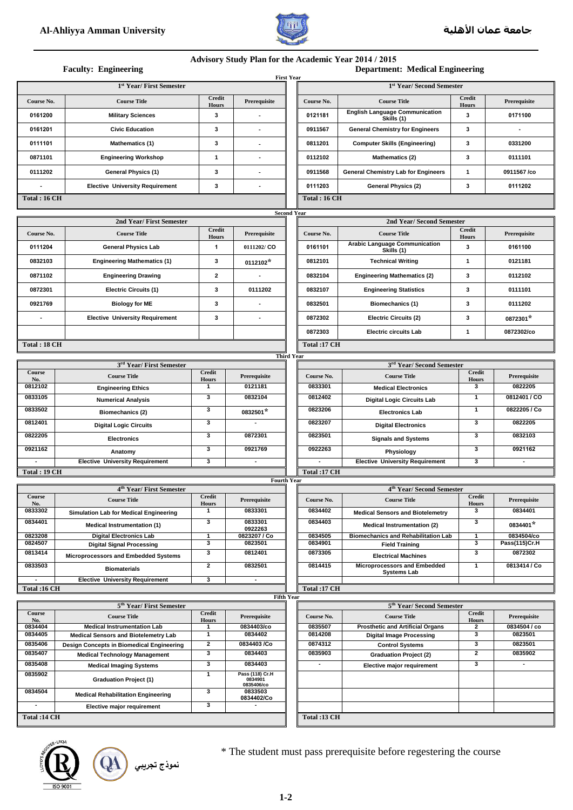

## **Advisory Study Plan for the Academic Year 2014 / 2015**

|  | Department: Medical Engineering |  |  |  |
|--|---------------------------------|--|--|--|
|--|---------------------------------|--|--|--|

| <b>Faculty: Engineering</b>                              |                                                                                   |                               |                                      |                    | <b>Department: Medical Engineering</b><br><b>First Year</b> |                                                                     |                               |                             |  |  |
|----------------------------------------------------------|-----------------------------------------------------------------------------------|-------------------------------|--------------------------------------|--------------------|-------------------------------------------------------------|---------------------------------------------------------------------|-------------------------------|-----------------------------|--|--|
| 1 <sup>st</sup> Year/ First Semester                     |                                                                                   |                               |                                      |                    | 1 <sup>st</sup> Year/ Second Semester                       |                                                                     |                               |                             |  |  |
| Course No.                                               | <b>Course Title</b>                                                               | <b>Credit</b><br><b>Hours</b> | Prerequisite                         |                    | Course No.                                                  | <b>Course Title</b>                                                 | <b>Credit</b><br><b>Hours</b> | Prerequisite                |  |  |
| 0161200                                                  | <b>Military Sciences</b>                                                          | 3                             |                                      |                    | 0121181                                                     | <b>English Language Communication</b><br>Skills (1)                 | 3                             | 0171100                     |  |  |
| 0161201                                                  | <b>Civic Education</b>                                                            | 3                             |                                      |                    | 0911567                                                     | <b>General Chemistry for Engineers</b>                              | 3                             |                             |  |  |
| 0111101                                                  | <b>Mathematics (1)</b>                                                            | 3                             |                                      |                    | 0811201                                                     | <b>Computer Skills (Engineering)</b>                                | 3                             | 0331200                     |  |  |
| 0871101                                                  | <b>Engineering Workshop</b>                                                       | 1                             |                                      |                    | 0112102                                                     | Mathematics (2)                                                     | 3                             | 0111101                     |  |  |
| 0111202                                                  | General Physics (1)                                                               | 3                             | $\overline{\phantom{a}}$             |                    | 0911568                                                     | <b>General Chemistry Lab for Engineers</b>                          | 1                             | 0911567/co                  |  |  |
|                                                          | <b>Elective University Requirement</b>                                            | 3                             |                                      |                    | 0111203                                                     | General Physics (2)                                                 | 3                             | 0111202                     |  |  |
| Total: 16 CH                                             |                                                                                   |                               |                                      |                    | <b>Total: 16 CH</b>                                         |                                                                     |                               |                             |  |  |
|                                                          |                                                                                   |                               |                                      | <b>Second Year</b> |                                                             |                                                                     |                               |                             |  |  |
|                                                          | 2nd Year/ First Semester                                                          |                               |                                      |                    |                                                             | 2nd Year/ Second Semester                                           |                               |                             |  |  |
| Course No.                                               | <b>Course Title</b>                                                               | <b>Credit</b><br>Hours        | Prerequisite                         |                    | Course No.                                                  | <b>Course Title</b>                                                 | <b>Credit</b><br><b>Hours</b> | Prerequisite                |  |  |
| 0111204                                                  | <b>General Physics Lab</b>                                                        | 1                             | 0111202/CO                           |                    | 0161101                                                     | <b>Arabic Language Communication</b><br>Skills (1)                  | 3                             | 0161100                     |  |  |
| 0832103                                                  | <b>Engineering Mathematics (1)</b>                                                | 3                             | $0112102*$                           |                    | 0812101                                                     | <b>Technical Writing</b>                                            | 1                             | 0121181                     |  |  |
| 0871102                                                  | <b>Engineering Drawing</b>                                                        | $\mathbf{2}$                  |                                      |                    | 0832104                                                     | <b>Engineering Mathematics (2)</b>                                  | 3                             | 0112102                     |  |  |
| 0872301                                                  | <b>Electric Circuits (1)</b>                                                      | 3                             | 0111202                              |                    | 0832107                                                     | <b>Engineering Statistics</b>                                       | 3                             | 0111101                     |  |  |
| 0921769                                                  | <b>Biology for ME</b>                                                             | 3                             |                                      |                    | 0832501                                                     | Biomechanics (1)                                                    | 3                             | 0111202                     |  |  |
| ä,                                                       | <b>Elective University Requirement</b>                                            | 3                             |                                      |                    | 0872302                                                     | <b>Electric Circuits (2)</b>                                        | 3                             | 0872301*                    |  |  |
|                                                          |                                                                                   |                               |                                      |                    | 0872303                                                     | <b>Electric circuits Lab</b>                                        | 1                             | 0872302/co                  |  |  |
| Total: 18 CH                                             |                                                                                   |                               |                                      |                    | Total:17 CH                                                 |                                                                     |                               |                             |  |  |
|                                                          |                                                                                   |                               |                                      | <b>Third Year</b>  |                                                             |                                                                     |                               |                             |  |  |
|                                                          | 3 <sup>rd</sup> Year/ First Semester                                              |                               |                                      |                    |                                                             | 3 <sup>rd</sup> Year/ Second Semester                               |                               |                             |  |  |
| Course<br>No.                                            | <b>Course Title</b>                                                               | <b>Credit</b><br><b>Hours</b> | Prerequisite                         |                    | Course No.                                                  | <b>Course Title</b>                                                 | Credit<br><b>Hours</b>        | Prerequisite                |  |  |
| 0812102                                                  | <b>Engineering Ethics</b>                                                         | $\mathbf{1}$                  | 0121181                              |                    | 0833301                                                     | <b>Medical Electronics</b>                                          | 3                             | 0822205                     |  |  |
| 0833105                                                  | <b>Numerical Analysis</b>                                                         | 3                             | 0832104                              |                    | 0812402                                                     | <b>Digital Logic Circuits Lab</b>                                   | 1                             | 0812401/CO<br>0822205 / Co  |  |  |
| 0833502<br>0812401                                       | Biomechanics (2)                                                                  | 3<br>3                        | 0832501*<br>$\overline{\phantom{a}}$ |                    | 0823206<br>0823207                                          | <b>Electronics Lab</b>                                              | 1<br>3                        | 0822205                     |  |  |
| 0822205                                                  | <b>Digital Logic Circuits</b>                                                     | 3                             | 0872301                              |                    | 0823501                                                     | <b>Digital Electronics</b>                                          | 3                             | 0832103                     |  |  |
| 0921162                                                  | <b>Electronics</b>                                                                | 3                             | 0921769                              |                    | 0922263                                                     | <b>Signals and Systems</b>                                          | 3                             | 0921162                     |  |  |
| $\blacksquare$                                           | Anatomy<br><b>Elective University Requirement</b>                                 | 3                             | $\blacksquare$                       |                    | $\overline{\phantom{a}}$                                    | Physiology<br><b>Elective University Requirement</b>                | 3                             | $\blacksquare$              |  |  |
| <b>Total: 19 CH</b>                                      |                                                                                   |                               |                                      |                    | Total :17 CH                                                |                                                                     |                               |                             |  |  |
|                                                          |                                                                                   |                               | <b>Fourth Year</b>                   |                    |                                                             |                                                                     |                               |                             |  |  |
| Course                                                   | 4 <sup>th</sup> Year/ First Semester                                              | <b>Credit</b>                 |                                      |                    |                                                             | 4 <sup>th</sup> Year/ Second Semester                               | Credit                        |                             |  |  |
| No.                                                      | <b>Course Title</b>                                                               | <b>Hours</b>                  | Prerequisite                         |                    | Course No.                                                  | <b>Course Title</b>                                                 | <b>Hours</b>                  | Prerequisite                |  |  |
| 0833302<br>0834401                                       | Simulation Lab for Medical Engineering                                            | 1<br>3                        | 0833301<br>0833301                   |                    | 0834402<br>0834403                                          | <b>Medical Sensors and Biotelemetry</b>                             | 3<br>3                        | 0834401                     |  |  |
|                                                          | <b>Medical Instrumentation (1)</b>                                                |                               | 0922263                              |                    |                                                             | <b>Medical Instrumentation (2)</b>                                  |                               | 0834401*                    |  |  |
| 0823208<br>0824507                                       | <b>Digital Electronics Lab</b><br><b>Digital Signal Processing</b>                | 3                             | 0823207 / Co<br>0823501              |                    | 0834505<br>0834901                                          | <b>Biomechanics and Rehabilitation Lab</b><br><b>Field Training</b> | 3                             | 0834504/co<br>Pass(115)Cr.H |  |  |
| 0813414                                                  | Microprocessors and Embedded Systems                                              | 3                             | 0812401                              |                    | 0873305                                                     | <b>Electrical Machines</b>                                          | 3                             | 0872302                     |  |  |
| 0833503                                                  | <b>Biomaterials</b>                                                               | $\mathbf{2}$                  | 0832501                              |                    | 0814415                                                     | Microprocessors and Embedded<br><b>Systems Lab</b>                  | 1                             | 0813414 / Co                |  |  |
|                                                          | <b>Elective University Requirement</b>                                            | 3                             | $\blacksquare$                       |                    |                                                             |                                                                     |                               |                             |  |  |
| <b>Total: 17 CH</b><br>Total :16 CH<br><b>Fifth Year</b> |                                                                                   |                               |                                      |                    |                                                             |                                                                     |                               |                             |  |  |
| 5 <sup>th</sup> Year/ First Semester                     |                                                                                   |                               |                                      |                    | 5 <sup>th</sup> Year/ Second Semester                       |                                                                     |                               |                             |  |  |
| Course<br>No.                                            | <b>Course Title</b>                                                               | <b>Credit</b><br><b>Hours</b> | Prerequisite                         |                    | Course No.                                                  | <b>Course Title</b>                                                 | <b>Credit</b><br><b>Hours</b> | Prerequisite                |  |  |
| 0834404<br>0834405                                       | <b>Medical Instrumentation Lab</b>                                                | 1<br>1                        | 0834403/co<br>0834402                |                    | 0835507<br>0814208                                          | <b>Prosthetic and Artificial Organs</b>                             | 2<br>3                        | 0834504 / co<br>0823501     |  |  |
| 0835406                                                  | Medical Sensors and Biotelemetry Lab<br>Design Concepts in Biomedical Engineering | $\mathbf{2}$                  | 0834403/Co                           |                    | 0874312                                                     | <b>Digital Image Processing</b><br><b>Control Systems</b>           | 3                             | 0823501                     |  |  |
| 0835407                                                  | <b>Medical Technology Management</b>                                              | 3                             | 0834403                              |                    | 0835903                                                     | <b>Graduation Project (2)</b>                                       | $\mathbf{2}$                  | 0835902                     |  |  |
| 0835408                                                  | <b>Medical Imaging Systems</b>                                                    | 3                             | 0834403                              |                    |                                                             | Elective major requirement                                          | 3                             | ٠                           |  |  |
| 0835902                                                  | <b>Graduation Project (1)</b>                                                     | 1                             | Pass (118) Cr.H<br>0834901           |                    |                                                             |                                                                     |                               |                             |  |  |
| 0834504                                                  |                                                                                   | 3                             | 0835406/co<br>0833503                |                    |                                                             |                                                                     |                               |                             |  |  |
|                                                          | <b>Medical Rehabilitation Engineering</b><br>Elective major requirement           | 3                             | 0834402/Co                           |                    |                                                             |                                                                     |                               |                             |  |  |
| Total :14 CH                                             |                                                                                   |                               |                                      |                    | Total :13 CH                                                |                                                                     |                               |                             |  |  |



\* The student must pass prerequisite before regestering the course